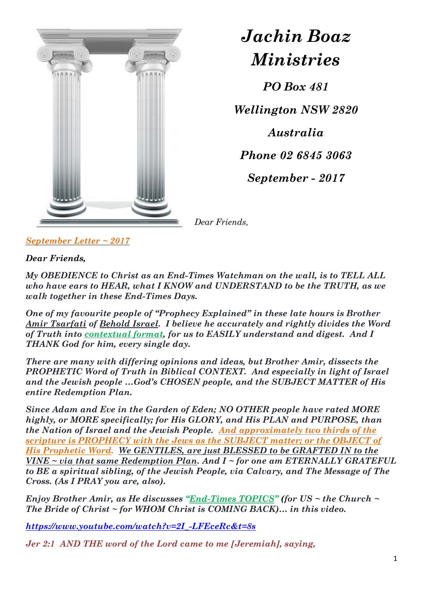

*Jachin Boaz Ministries*

*PO Box 481 Wellington NSW 2820 Australia Phone 02 6845 3063 September - 2017*

*Dear Friends,*

*September Letter ~ 2017*

*Dear Friends,*

*My OBEDIENCE to Christ as an End-Times Watchman on the wall, is to TELL ALL who have ears to HEAR, what I KNOW and UNDERSTAND to be the TRUTH, as we walk together in these End-Times Days.*

*One of my favourite people of "Prophecy Explained" in these late hours is Brother Amir Tsarfati of Behold Israel. I believe he accurately and rightly divides the Word of Truth into contextual format, for us to EASILY understand and digest. And I THANK God for him, every single day.* 

*There are many with differing opinions and ideas, but Brother Amir, dissects the PROPHETIC Word of Truth in Biblical CONTEXT. And especially in light of Israel and the Jewish people …God's CHOSEN people, and the SUBJECT MATTER of His entire Redemption Plan.*

*Since Adam and Eve in the Garden of Eden; NO OTHER people have rated MORE highly, or MORE specifically; for His GLORY, and His PLAN and PURPOSE, than the Nation of Israel and the Jewish People. And approximately two thirds of the scripture is PROPHECY with the Jews as the SUBJECT matter; or the OBJECT of His Prophetic Word. We GENTILES, are just BLESSED to be GRAFTED IN to the VINE ~ via that same Redemption Plan. And I ~ for one am ETERNALLY GRATEFUL to BE a spiritual sibling, of the Jewish People, via Calvary, and The Message of The Cross. (As I PRAY you are, also).*

*Enjoy Brother Amir, as He discusses "End-Times TOPICS" (for US ~ the Church ~ The Bride of Christ ~ for WHOM Christ is COMING BACK)… in this video.*

*[https://www.youtube.com/watch?v=2I\\_-LFEceRc&t=8s](https://www.youtube.com/watch?v=2I_-LFEceRc&t=8s)*

*Jer 2:1 AND THE word of the Lord came to me [Jeremiah], saying,*